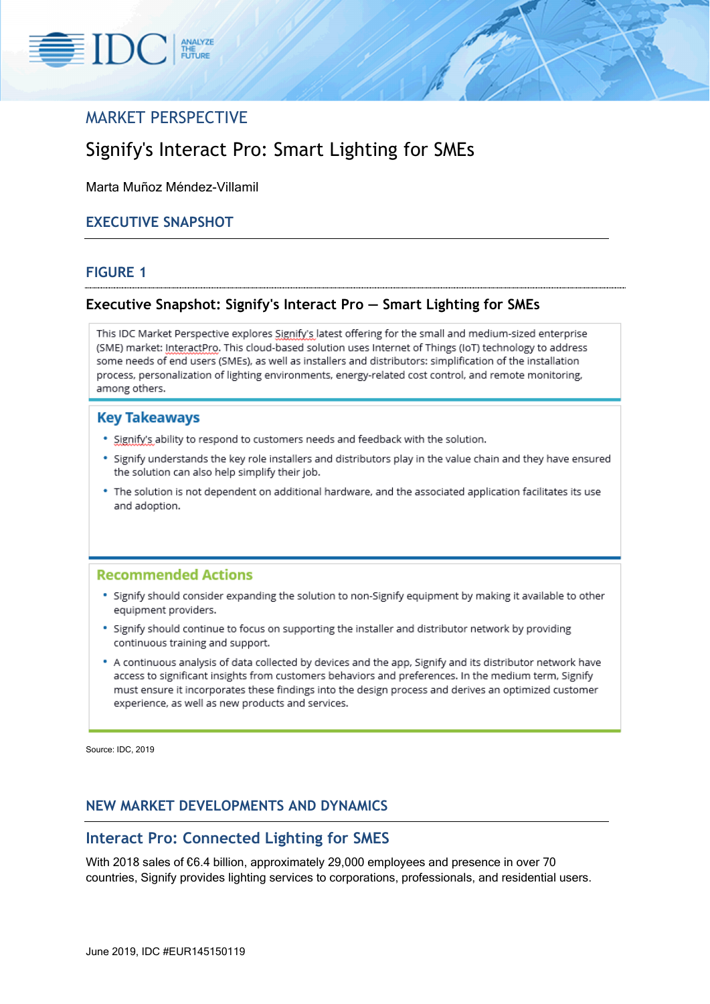

# MARKET PERSPECTIVE

# Signify's Interact Pro: Smart Lighting for SMEs

Marta Muñoz Méndez-Villamil

### **EXECUTIVE SNAPSHOT**

#### **FIGURE 1**

### **Executive Snapshot: Signify's Interact Pro — Smart Lighting for SMEs**

This IDC Market Perspective explores Signify's latest offering for the small and medium-sized enterprise (SME) market: InteractPro. This cloud-based solution uses Internet of Things (IoT) technology to address some needs of end users (SMEs), as well as installers and distributors: simplification of the installation process, personalization of lighting environments, energy-related cost control, and remote monitoring, among others.

#### **Key Takeaways**

- . Signify's ability to respond to customers needs and feedback with the solution.
- . Signify understands the key role installers and distributors play in the value chain and they have ensured the solution can also help simplify their job.
- . The solution is not dependent on additional hardware, and the associated application facilitates its use and adoption.

#### **Recommended Actions**

- · Signify should consider expanding the solution to non-Signify equipment by making it available to other equipment providers.
- · Signify should continue to focus on supporting the installer and distributor network by providing continuous training and support.
- . A continuous analysis of data collected by devices and the app, Signify and its distributor network have access to significant insights from customers behaviors and preferences. In the medium term, Signify must ensure it incorporates these findings into the design process and derives an optimized customer experience, as well as new products and services.

Source: IDC, 2019

### **NEW MARKET DEVELOPMENTS AND DYNAMICS**

### **Interact Pro: Connected Lighting for SMES**

With 2018 sales of €6.4 billion, approximately 29,000 employees and presence in over 70 countries, Signify provides lighting services to corporations, professionals, and residential users.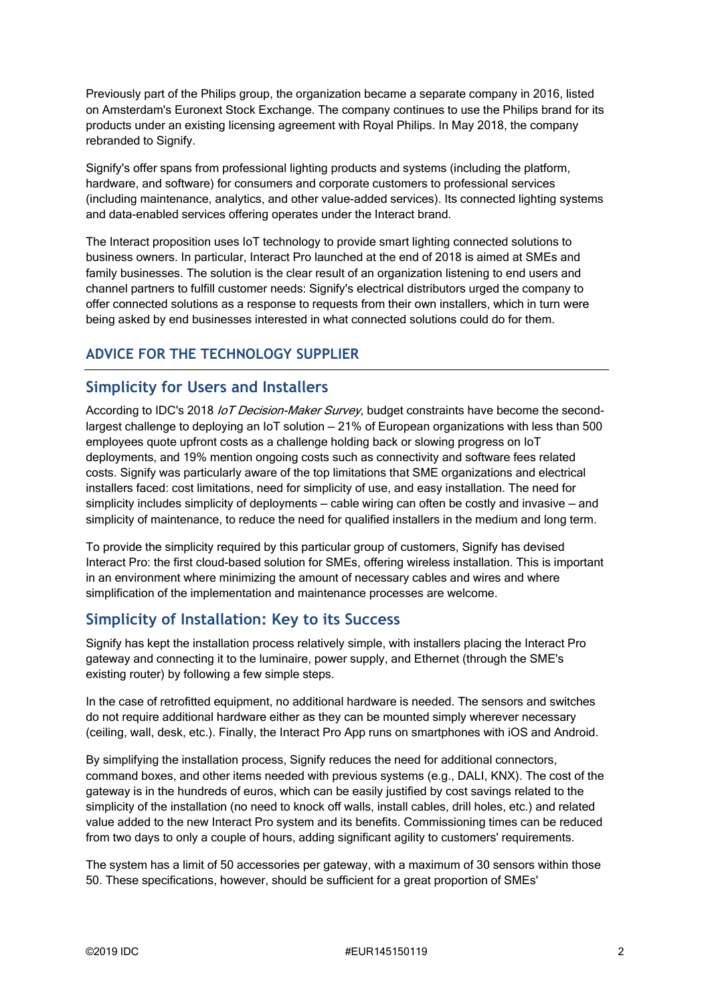Previously part of the Philips group, the organization became a separate company in 2016, listed on Amsterdam's Euronext Stock Exchange. The company continues to use the Philips brand for its products under an existing licensing agreement with Royal Philips. In May 2018, the company rebranded to Signify.

Signify's offer spans from professional lighting products and systems (including the platform, hardware, and software) for consumers and corporate customers to professional services (including maintenance, analytics, and other value-added services). Its connected lighting systems and data-enabled services offering operates under the Interact brand.

The Interact proposition uses IoT technology to provide smart lighting connected solutions to business owners. In particular, Interact Pro launched at the end of 2018 is aimed at SMEs and family businesses. The solution is the clear result of an organization listening to end users and channel partners to fulfill customer needs: Signify's electrical distributors urged the company to offer connected solutions as a response to requests from their own installers, which in turn were being asked by end businesses interested in what connected solutions could do for them.

### **ADVICE FOR THE TECHNOLOGY SUPPLIER**

### **Simplicity for Users and Installers**

According to IDC's 2018 IoT Decision-Maker Survey, budget constraints have become the secondlargest challenge to deploying an IoT solution — 21% of European organizations with less than 500 employees quote upfront costs as a challenge holding back or slowing progress on IoT deployments, and 19% mention ongoing costs such as connectivity and software fees related costs. Signify was particularly aware of the top limitations that SME organizations and electrical installers faced: cost limitations, need for simplicity of use, and easy installation. The need for simplicity includes simplicity of deployments — cable wiring can often be costly and invasive — and simplicity of maintenance, to reduce the need for qualified installers in the medium and long term.

To provide the simplicity required by this particular group of customers, Signify has devised Interact Pro: the first cloud-based solution for SMEs, offering wireless installation. This is important in an environment where minimizing the amount of necessary cables and wires and where simplification of the implementation and maintenance processes are welcome.

# **Simplicity of Installation: Key to its Success**

Signify has kept the installation process relatively simple, with installers placing the Interact Pro gateway and connecting it to the luminaire, power supply, and Ethernet (through the SME's existing router) by following a few simple steps.

In the case of retrofitted equipment, no additional hardware is needed. The sensors and switches do not require additional hardware either as they can be mounted simply wherever necessary (ceiling, wall, desk, etc.). Finally, the Interact Pro App runs on smartphones with iOS and Android.

By simplifying the installation process, Signify reduces the need for additional connectors, command boxes, and other items needed with previous systems (e.g., DALI, KNX). The cost of the gateway is in the hundreds of euros, which can be easily justified by cost savings related to the simplicity of the installation (no need to knock off walls, install cables, drill holes, etc.) and related value added to the new Interact Pro system and its benefits. Commissioning times can be reduced from two days to only a couple of hours, adding significant agility to customers' requirements.

The system has a limit of 50 accessories per gateway, with a maximum of 30 sensors within those 50. These specifications, however, should be sufficient for a great proportion of SMEs'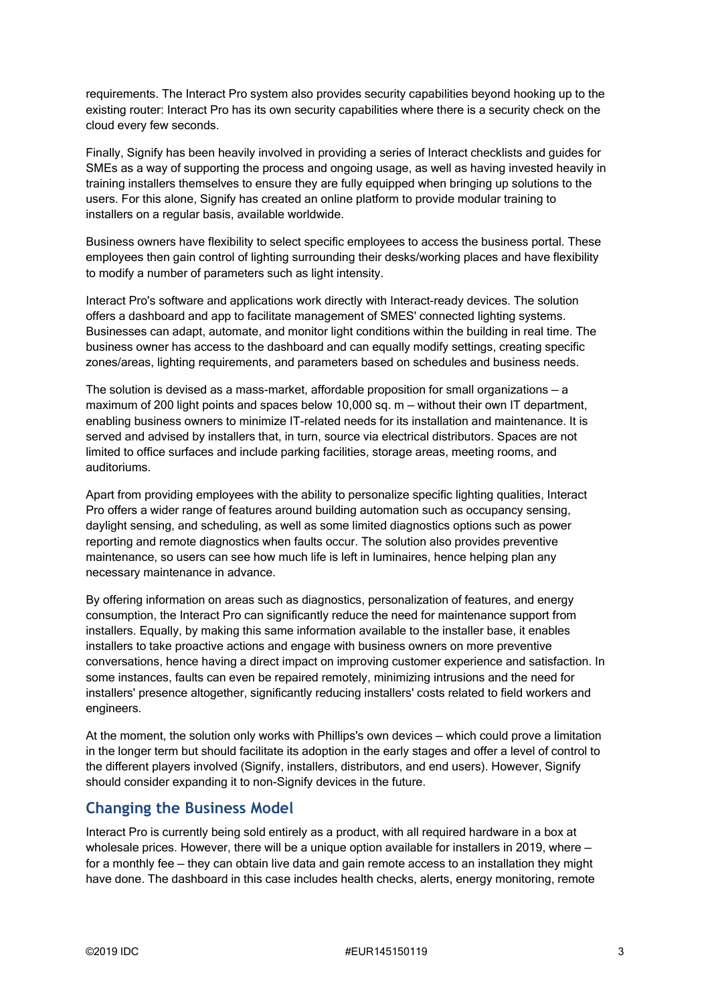requirements. The Interact Pro system also provides security capabilities beyond hooking up to the existing router: Interact Pro has its own security capabilities where there is a security check on the cloud every few seconds.

Finally, Signify has been heavily involved in providing a series of Interact checklists and guides for SMEs as a way of supporting the process and ongoing usage, as well as having invested heavily in training installers themselves to ensure they are fully equipped when bringing up solutions to the users. For this alone, Signify has created an online platform to provide modular training to installers on a regular basis, available worldwide.

Business owners have flexibility to select specific employees to access the business portal. These employees then gain control of lighting surrounding their desks/working places and have flexibility to modify a number of parameters such as light intensity.

Interact Pro's software and applications work directly with Interact-ready devices. The solution offers a dashboard and app to facilitate management of SMES' connected lighting systems. Businesses can adapt, automate, and monitor light conditions within the building in real time. The business owner has access to the dashboard and can equally modify settings, creating specific zones/areas, lighting requirements, and parameters based on schedules and business needs.

The solution is devised as a mass-market, affordable proposition for small organizations — a maximum of 200 light points and spaces below 10,000 sq. m — without their own IT department, enabling business owners to minimize IT-related needs for its installation and maintenance. It is served and advised by installers that, in turn, source via electrical distributors. Spaces are not limited to office surfaces and include parking facilities, storage areas, meeting rooms, and auditoriums.

Apart from providing employees with the ability to personalize specific lighting qualities, Interact Pro offers a wider range of features around building automation such as occupancy sensing, daylight sensing, and scheduling, as well as some limited diagnostics options such as power reporting and remote diagnostics when faults occur. The solution also provides preventive maintenance, so users can see how much life is left in luminaires, hence helping plan any necessary maintenance in advance.

By offering information on areas such as diagnostics, personalization of features, and energy consumption, the Interact Pro can significantly reduce the need for maintenance support from installers. Equally, by making this same information available to the installer base, it enables installers to take proactive actions and engage with business owners on more preventive conversations, hence having a direct impact on improving customer experience and satisfaction. In some instances, faults can even be repaired remotely, minimizing intrusions and the need for installers' presence altogether, significantly reducing installers' costs related to field workers and engineers.

At the moment, the solution only works with Phillips's own devices — which could prove a limitation in the longer term but should facilitate its adoption in the early stages and offer a level of control to the different players involved (Signify, installers, distributors, and end users). However, Signify should consider expanding it to non-Signify devices in the future.

## **Changing the Business Model**

Interact Pro is currently being sold entirely as a product, with all required hardware in a box at wholesale prices. However, there will be a unique option available for installers in 2019, where for a monthly fee — they can obtain live data and gain remote access to an installation they might have done. The dashboard in this case includes health checks, alerts, energy monitoring, remote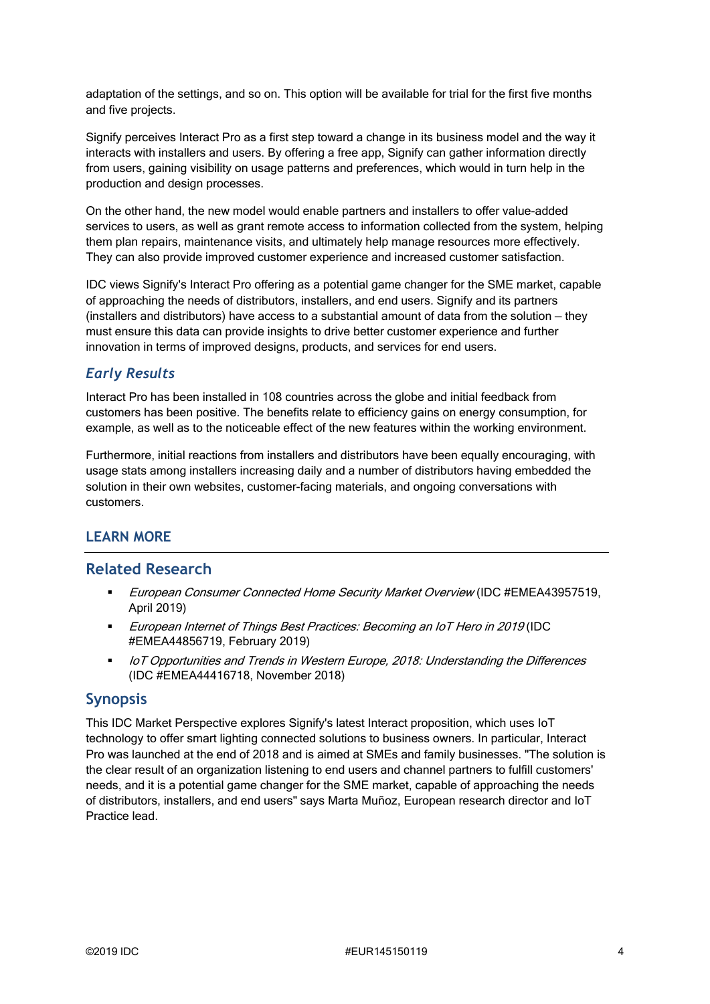adaptation of the settings, and so on. This option will be available for trial for the first five months and five projects.

Signify perceives Interact Pro as a first step toward a change in its business model and the way it interacts with installers and users. By offering a free app, Signify can gather information directly from users, gaining visibility on usage patterns and preferences, which would in turn help in the production and design processes.

On the other hand, the new model would enable partners and installers to offer value-added services to users, as well as grant remote access to information collected from the system, helping them plan repairs, maintenance visits, and ultimately help manage resources more effectively. They can also provide improved customer experience and increased customer satisfaction.

IDC views Signify's Interact Pro offering as a potential game changer for the SME market, capable of approaching the needs of distributors, installers, and end users. Signify and its partners (installers and distributors) have access to a substantial amount of data from the solution — they must ensure this data can provide insights to drive better customer experience and further innovation in terms of improved designs, products, and services for end users.

### *Early Results*

Interact Pro has been installed in 108 countries across the globe and initial feedback from customers has been positive. The benefits relate to efficiency gains on energy consumption, for example, as well as to the noticeable effect of the new features within the working environment.

Furthermore, initial reactions from installers and distributors have been equally encouraging, with usage stats among installers increasing daily and a number of distributors having embedded the solution in their own websites, customer-facing materials, and ongoing conversations with customers.

### **LEARN MORE**

### **Related Research**

- European Consumer Connected Home Security Market Overview (IDC #EMEA43957519, April 2019)
- **European Internet of Things Best Practices: Becoming an IoT Hero in 2019 (IDC** #EMEA44856719, February 2019)
- IoT Opportunities and Trends in Western Europe, 2018: Understanding the Differences (IDC #EMEA44416718, November 2018)

### **Synopsis**

This IDC Market Perspective explores Signify's latest Interact proposition, which uses IoT technology to offer smart lighting connected solutions to business owners. In particular, Interact Pro was launched at the end of 2018 and is aimed at SMEs and family businesses. "The solution is the clear result of an organization listening to end users and channel partners to fulfill customers' needs, and it is a potential game changer for the SME market, capable of approaching the needs of distributors, installers, and end users" says Marta Muñoz, European research director and IoT Practice lead.